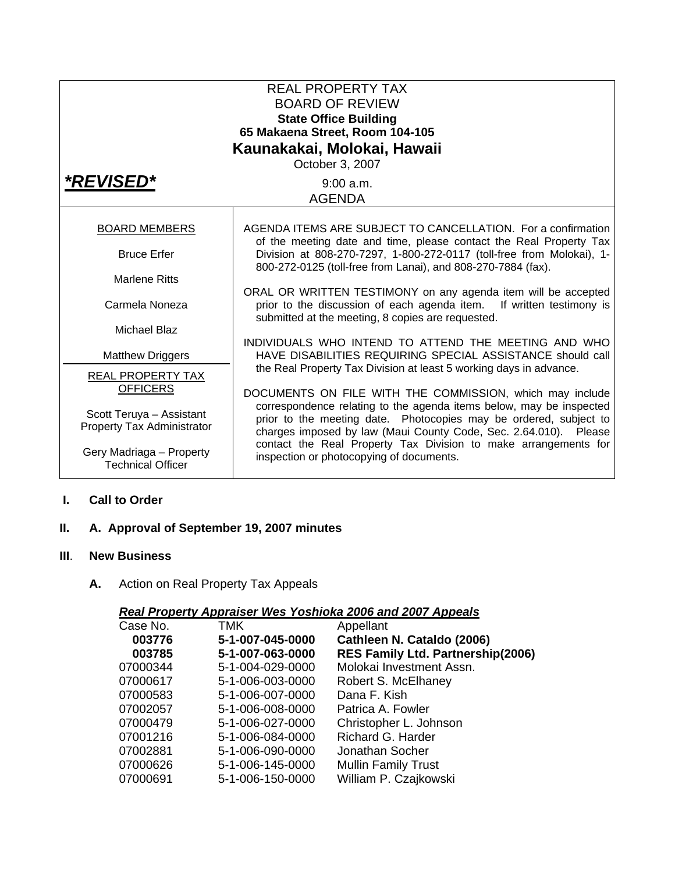| <b>REAL PROPERTY TAX</b><br><b>BOARD OF REVIEW</b><br><b>State Office Building</b><br>65 Makaena Street, Room 104-105<br>Kaunakakai, Molokai, Hawaii<br>October 3, 2007 |                                                                                                                                                                                                              |  |  |  |
|-------------------------------------------------------------------------------------------------------------------------------------------------------------------------|--------------------------------------------------------------------------------------------------------------------------------------------------------------------------------------------------------------|--|--|--|
| <i><b>*REVISED*</b></i>                                                                                                                                                 | $9:00$ a.m.<br><b>AGENDA</b>                                                                                                                                                                                 |  |  |  |
| <b>BOARD MEMBERS</b>                                                                                                                                                    | AGENDA ITEMS ARE SUBJECT TO CANCELLATION. For a confirmation                                                                                                                                                 |  |  |  |
| <b>Bruce Erfer</b>                                                                                                                                                      | of the meeting date and time, please contact the Real Property Tax<br>Division at 808-270-7297, 1-800-272-0117 (toll-free from Molokai), 1-<br>800-272-0125 (toll-free from Lanai), and 808-270-7884 (fax).  |  |  |  |
| <b>Marlene Ritts</b>                                                                                                                                                    | ORAL OR WRITTEN TESTIMONY on any agenda item will be accepted                                                                                                                                                |  |  |  |
| Carmela Noneza                                                                                                                                                          | prior to the discussion of each agenda item. If written testimony is<br>submitted at the meeting, 8 copies are requested.                                                                                    |  |  |  |
| Michael Blaz                                                                                                                                                            | INDIVIDUALS WHO INTEND TO ATTEND THE MEETING AND WHO                                                                                                                                                         |  |  |  |
| <b>Matthew Driggers</b>                                                                                                                                                 | HAVE DISABILITIES REQUIRING SPECIAL ASSISTANCE should call                                                                                                                                                   |  |  |  |
| <b>REAL PROPERTY TAX</b><br><b>OFFICERS</b>                                                                                                                             | the Real Property Tax Division at least 5 working days in advance.<br>DOCUMENTS ON FILE WITH THE COMMISSION, which may include                                                                               |  |  |  |
| Scott Teruya - Assistant<br>Property Tax Administrator                                                                                                                  | correspondence relating to the agenda items below, may be inspected<br>prior to the meeting date. Photocopies may be ordered, subject to<br>charges imposed by law (Maui County Code, Sec. 2.64.010). Please |  |  |  |
| Gery Madriaga - Property<br><b>Technical Officer</b>                                                                                                                    | contact the Real Property Tax Division to make arrangements for<br>inspection or photocopying of documents.                                                                                                  |  |  |  |

#### **I. Call to Order**

# **II. A. Approval of September 19, 2007 minutes**

#### **III**. **New Business**

**A.** Action on Real Property Tax Appeals

## *Real Property Appraiser Wes Yoshioka 2006 and 2007 Appeals*

| Case No. | TMK              | Appellant                                |
|----------|------------------|------------------------------------------|
| 003776   | 5-1-007-045-0000 | Cathleen N. Cataldo (2006)               |
| 003785   | 5-1-007-063-0000 | <b>RES Family Ltd. Partnership(2006)</b> |
| 07000344 | 5-1-004-029-0000 | Molokai Investment Assn.                 |
| 07000617 | 5-1-006-003-0000 | Robert S. McElhaney                      |
| 07000583 | 5-1-006-007-0000 | Dana F. Kish                             |
| 07002057 | 5-1-006-008-0000 | Patrica A. Fowler                        |
| 07000479 | 5-1-006-027-0000 | Christopher L. Johnson                   |
| 07001216 | 5-1-006-084-0000 | Richard G. Harder                        |
| 07002881 | 5-1-006-090-0000 | Jonathan Socher                          |
| 07000626 | 5-1-006-145-0000 | <b>Mullin Family Trust</b>               |
| 07000691 | 5-1-006-150-0000 | William P. Czajkowski                    |